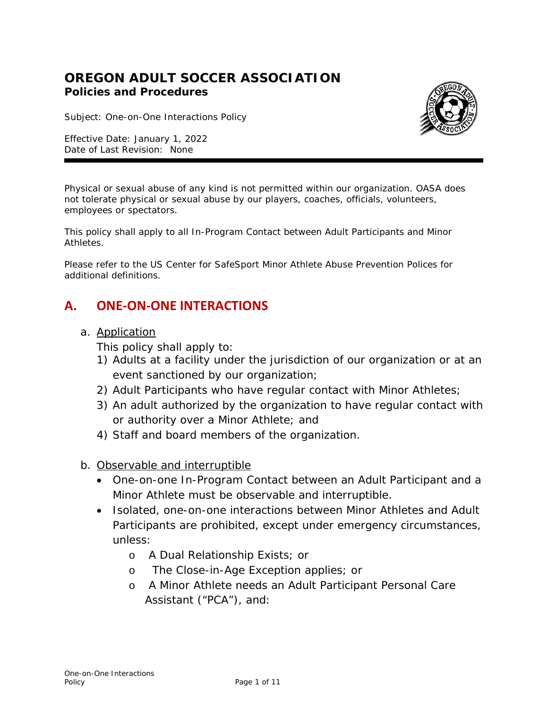## **OREGON ADULT SOCCER ASSOCIATION Policies and Procedures**

Subject: One-on-One Interactions Policy

Effective Date: January 1, 2022 Date of Last Revision: None



Physical or sexual abuse of any kind is not permitted within our organization. OASA does not tolerate physical or sexual abuse by our players, coaches, officials, volunteers, employees or spectators.

This policy shall apply to all In-Program Contact between Adult Participants and Minor Athletes.

Please refer to the US Center for SafeSport Minor Athlete Abuse Prevention Polices for additional definitions.

# **A. ONE-ON-ONE INTERACTIONS**

a. Application

This policy shall apply to:

- 1) Adults at a facility under the jurisdiction of our organization or at an event sanctioned by our organization;
- 2) Adult Participants who have regular contact with Minor Athletes;
- 3) An adult authorized by the organization to have regular contact with or authority over a Minor Athlete; and
- 4) Staff and board members of the organization.
- b. Observable and interruptible
	- One-on-one In-Program Contact between an Adult Participant and a Minor Athlete must be observable and interruptible.
	- Isolated, one-on-one interactions between Minor Athletes and Adult Participants are prohibited, except under emergency circumstances, unless:
		- o A Dual Relationship Exists; or
		- o The Close-in-Age Exception applies; or
		- o A Minor Athlete needs an Adult Participant Personal Care Assistant ("PCA"), and: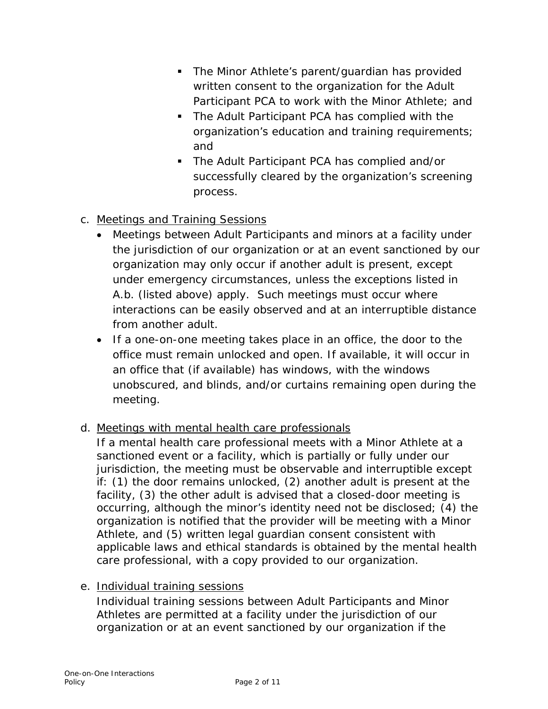- **The Minor Athlete's parent/guardian has provided** written consent to the organization for the Adult Participant PCA to work with the Minor Athlete; and
- **The Adult Participant PCA has complied with the** organization's education and training requirements; and
- The Adult Participant PCA has complied and/or successfully cleared by the organization's screening process.
- c. Meetings and Training Sessions
	- Meetings between Adult Participants and minors at a facility under the jurisdiction of our organization or at an event sanctioned by our organization may only occur if another adult is present, except under emergency circumstances, unless the exceptions listed in A.b. (listed above) apply. Such meetings must occur where interactions can be easily observed and at an interruptible distance from another adult.
	- If a one-on-one meeting takes place in an office, the door to the office must remain unlocked and open. If available, it will occur in an office that (if available) has windows, with the windows unobscured, and blinds, and/or curtains remaining open during the meeting.
- d. Meetings with mental health care professionals

If a mental health care professional meets with a Minor Athlete at a sanctioned event or a facility, which is partially or fully under our jurisdiction, the meeting must be observable and interruptible except if: (1) the door remains unlocked, (2) another adult is present at the facility, (3) the other adult is advised that a closed-door meeting is occurring, although the minor's identity need not be disclosed; (4) the organization is notified that the provider will be meeting with a Minor Athlete, and (5) written legal guardian consent consistent with applicable laws and ethical standards is obtained by the mental health care professional, with a copy provided to our organization.

e. Individual training sessions

Individual training sessions between Adult Participants and Minor Athletes are permitted at a facility under the jurisdiction of our organization or at an event sanctioned by our organization if the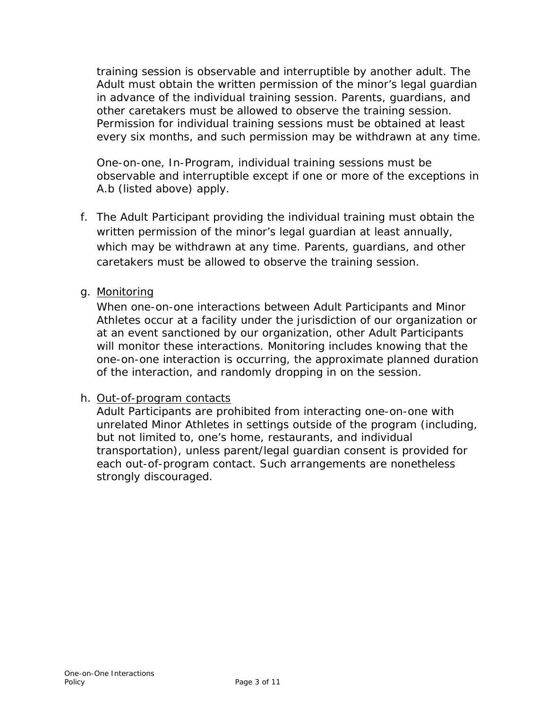training session is observable and interruptible by another adult. The Adult must obtain the written permission of the minor's legal guardian in advance of the individual training session. Parents, guardians, and other caretakers must be allowed to observe the training session. Permission for individual training sessions must be obtained at least every six months, and such permission may be withdrawn at any time.

One-on-one, In-Program, individual training sessions must be observable and interruptible except if one or more of the exceptions in A.b (listed above) apply.

- f. The Adult Participant providing the individual training must obtain the written permission of the minor's legal guardian at least annually, which may be withdrawn at any time. Parents, guardians, and other caretakers must be allowed to observe the training session.
- g. Monitoring

When one-on-one interactions between Adult Participants and Minor Athletes occur at a facility under the jurisdiction of our organization or at an event sanctioned by our organization, other Adult Participants will monitor these interactions. Monitoring includes knowing that the one-on-one interaction is occurring, the approximate planned duration of the interaction, and randomly dropping in on the session.

#### h. Out-of-program contacts

Adult Participants are prohibited from interacting one-on-one with unrelated Minor Athletes in settings outside of the program (including, but not limited to, one's home, restaurants, and individual transportation), unless parent/legal guardian consent is provided for each out-of-program contact. Such arrangements are nonetheless strongly discouraged.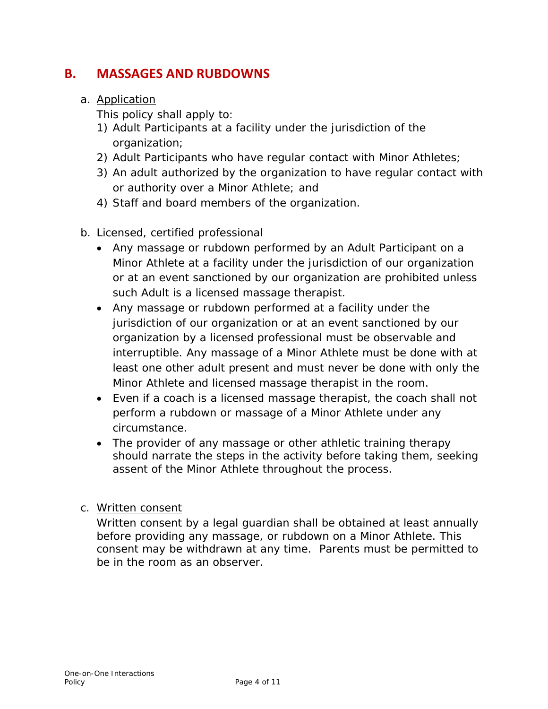# **B. MASSAGES AND RUBDOWNS**

## a. Application

This policy shall apply to:

- 1) Adult Participants at a facility under the jurisdiction of the organization;
- 2) Adult Participants who have regular contact with Minor Athletes;
- 3) An adult authorized by the organization to have regular contact with or authority over a Minor Athlete; and
- 4) Staff and board members of the organization.
- b. Licensed, certified professional
	- Any massage or rubdown performed by an Adult Participant on a Minor Athlete at a facility under the jurisdiction of our organization or at an event sanctioned by our organization are prohibited unless such Adult is a licensed massage therapist.
	- Any massage or rubdown performed at a facility under the jurisdiction of our organization or at an event sanctioned by our organization by a licensed professional must be observable and interruptible. Any massage of a Minor Athlete must be done with at least one other adult present and must never be done with only the Minor Athlete and licensed massage therapist in the room.
	- Even if a coach is a licensed massage therapist, the coach shall not perform a rubdown or massage of a Minor Athlete under any circumstance.
	- The provider of any massage or other athletic training therapy should narrate the steps in the activity before taking them, seeking assent of the Minor Athlete throughout the process.

#### c. Written consent

Written consent by a legal guardian shall be obtained at least annually before providing any massage, or rubdown on a Minor Athlete. This consent may be withdrawn at any time. Parents must be permitted to be in the room as an observer.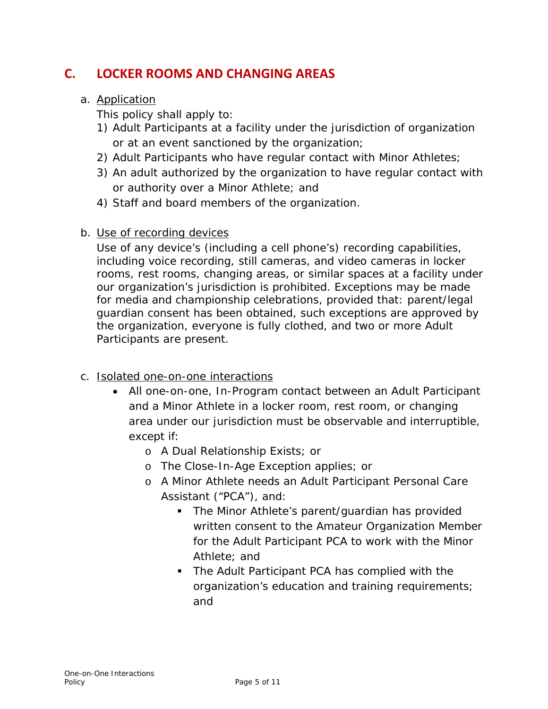# **C. LOCKER ROOMS AND CHANGING AREAS**

## a. Application

This policy shall apply to:

- 1) Adult Participants at a facility under the jurisdiction of organization or at an event sanctioned by the organization;
- 2) Adult Participants who have regular contact with Minor Athletes;
- 3) An adult authorized by the organization to have regular contact with or authority over a Minor Athlete; and
- 4) Staff and board members of the organization.
- b. Use of recording devices

Use of any device's (including a cell phone's) recording capabilities, including voice recording, still cameras, and video cameras in locker rooms, rest rooms, changing areas, or similar spaces at a facility under our organization's jurisdiction is prohibited. Exceptions may be made for media and championship celebrations, provided that: parent/legal guardian consent has been obtained, such exceptions are approved by the organization, everyone is fully clothed, and two or more Adult Participants are present.

- c. Isolated one-on-one interactions
	- All one-on-one, In-Program contact between an Adult Participant and a Minor Athlete in a locker room, rest room, or changing area under our jurisdiction must be observable and interruptible, except if:
		- o A Dual Relationship Exists; or
		- o The Close-In-Age Exception applies; or
		- o A Minor Athlete needs an Adult Participant Personal Care Assistant ("PCA"), and:
			- **The Minor Athlete's parent/guardian has provided** written consent to the Amateur Organization Member for the Adult Participant PCA to work with the Minor Athlete; and
			- **The Adult Participant PCA has complied with the** organization's education and training requirements; and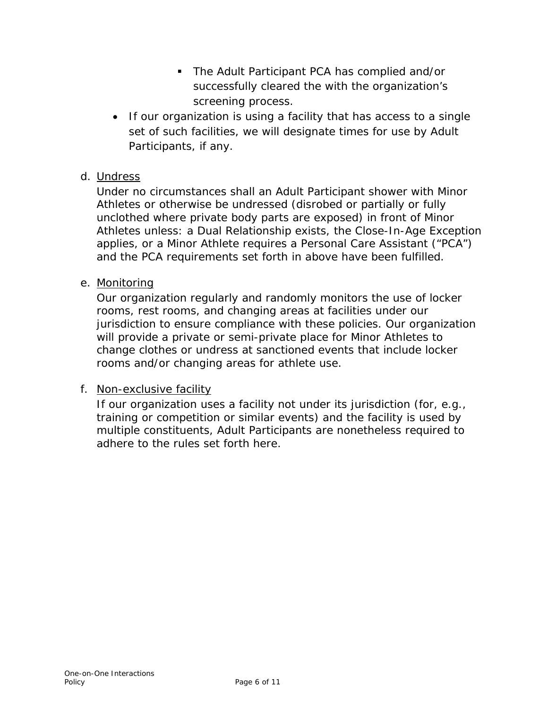- The Adult Participant PCA has complied and/or successfully cleared the with the organization's screening process.
- If our organization is using a facility that has access to a single set of such facilities, we will designate times for use by Adult Participants, if any.

### d. Undress

Under no circumstances shall an Adult Participant shower with Minor Athletes or otherwise be undressed (disrobed or partially or fully unclothed where private body parts are exposed) in front of Minor Athletes unless: a Dual Relationship exists, the Close-In-Age Exception applies, or a Minor Athlete requires a Personal Care Assistant ("PCA") and the PCA requirements set forth in above have been fulfilled.

## e. Monitoring

Our organization regularly and randomly monitors the use of locker rooms, rest rooms, and changing areas at facilities under our jurisdiction to ensure compliance with these policies. Our organization will provide a private or semi-private place for Minor Athletes to change clothes or undress at sanctioned events that include locker rooms and/or changing areas for athlete use.

#### f. Non-exclusive facility

If our organization uses a facility not under its jurisdiction (for, e.g., training or competition or similar events) and the facility is used by multiple constituents, Adult Participants are nonetheless required to adhere to the rules set forth here.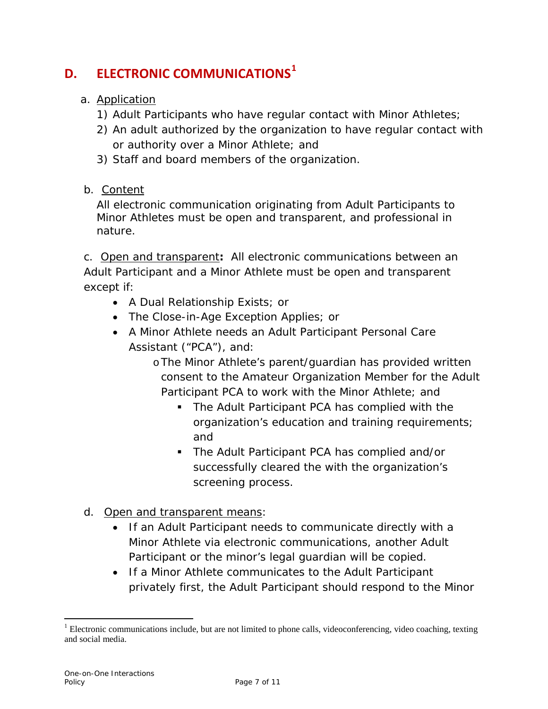# **D. ELECTRONIC COMMUNICATIONS[1](#page-6-0)**

- a. Application
	- 1) Adult Participants who have regular contact with Minor Athletes;
	- 2) An adult authorized by the organization to have regular contact with or authority over a Minor Athlete; and
	- 3) Staff and board members of the organization.
- b. Content

All electronic communication originating from Adult Participants to Minor Athletes must be open and transparent, and professional in nature.

c. Open and transparent**:** All electronic communications between an Adult Participant and a Minor Athlete must be open and transparent except if:

- A Dual Relationship Exists; or
- The Close-in-Age Exception Applies; or
- A Minor Athlete needs an Adult Participant Personal Care Assistant ("PCA"), and:
	- oThe Minor Athlete's parent/guardian has provided written consent to the Amateur Organization Member for the Adult Participant PCA to work with the Minor Athlete; and
		- **The Adult Participant PCA has complied with the** organization's education and training requirements; and
		- The Adult Participant PCA has complied and/or successfully cleared the with the organization's screening process.
- d. Open and transparent means:
	- If an Adult Participant needs to communicate directly with a Minor Athlete via electronic communications, another Adult Participant or the minor's legal guardian will be copied.
	- If a Minor Athlete communicates to the Adult Participant privately first, the Adult Participant should respond to the Minor

<span id="page-6-0"></span> $1$  Electronic communications include, but are not limited to phone calls, videoconferencing, video coaching, texting and social media.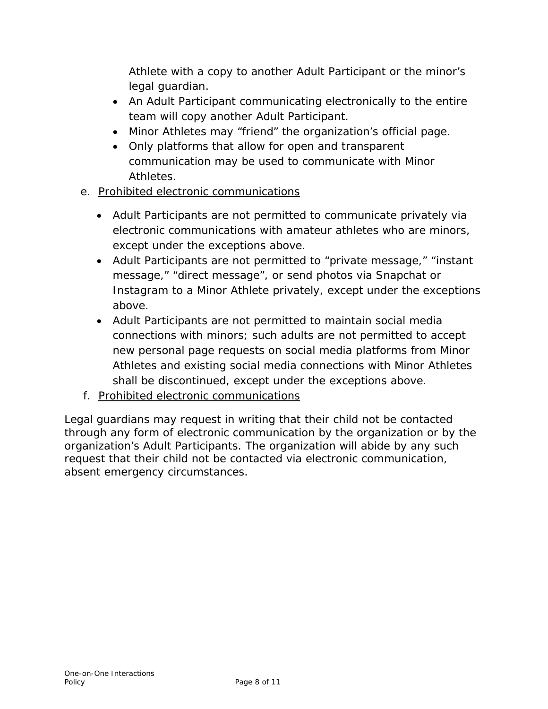Athlete with a copy to another Adult Participant or the minor's legal guardian.

- An Adult Participant communicating electronically to the entire team will copy another Adult Participant.
- Minor Athletes may "friend" the organization's official page.
- Only platforms that allow for open and transparent communication may be used to communicate with Minor Athletes.
- e. Prohibited electronic communications
	- Adult Participants are not permitted to communicate privately via electronic communications with amateur athletes who are minors, except under the exceptions above.
	- Adult Participants are not permitted to "private message," "instant message," "direct message", or send photos via Snapchat or Instagram to a Minor Athlete privately, except under the exceptions above.
	- Adult Participants are not permitted to maintain social media connections with minors; such adults are not permitted to accept new personal page requests on social media platforms from Minor Athletes and existing social media connections with Minor Athletes shall be discontinued, except under the exceptions above.
- f. Prohibited electronic communications

Legal guardians may request in writing that their child not be contacted through any form of electronic communication by the organization or by the organization's Adult Participants. The organization will abide by any such request that their child not be contacted via electronic communication, absent emergency circumstances.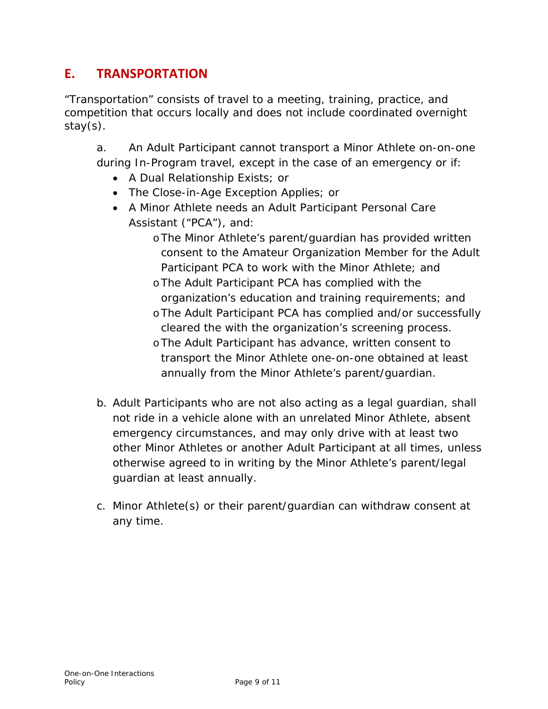# **E. TRANSPORTATION**

"Transportation" consists of travel to a meeting, training, practice, and competition that occurs locally and does not include coordinated overnight stay(s).

a. An Adult Participant cannot transport a Minor Athlete on-on-one during In-Program travel, except in the case of an emergency or if:

- A Dual Relationship Exists; or
- The Close-in-Age Exception Applies; or
- A Minor Athlete needs an Adult Participant Personal Care Assistant ("PCA"), and:
	- oThe Minor Athlete's parent/guardian has provided written consent to the Amateur Organization Member for the Adult Participant PCA to work with the Minor Athlete; and
	- oThe Adult Participant PCA has complied with the organization's education and training requirements; and
	- oThe Adult Participant PCA has complied and/or successfully cleared the with the organization's screening process.
	- oThe Adult Participant has advance, written consent to transport the Minor Athlete one-on-one obtained at least annually from the Minor Athlete's parent/guardian.
- b. Adult Participants who are not also acting as a legal guardian, shall not ride in a vehicle alone with an unrelated Minor Athlete, absent emergency circumstances, and may only drive with at least two other Minor Athletes or another Adult Participant at all times, unless otherwise agreed to in writing by the Minor Athlete's parent/legal guardian at least annually.
- c. Minor Athlete(s) or their parent/guardian can withdraw consent at any time.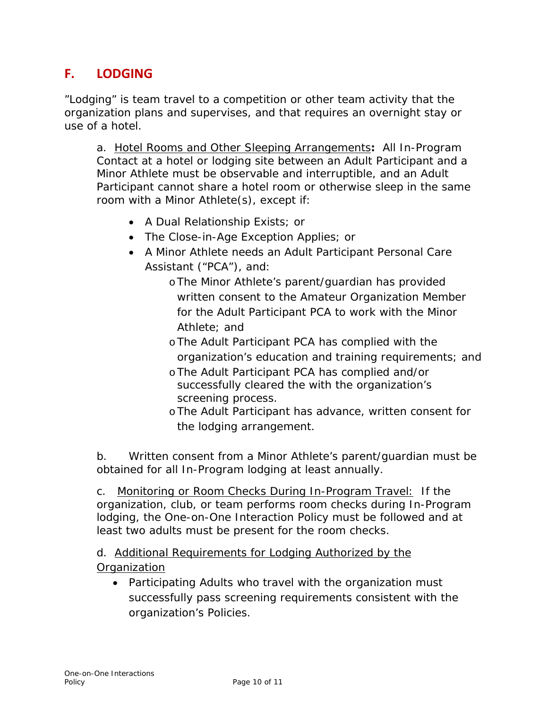# **F. LODGING**

"Lodging" is team travel to a competition or other team activity that the organization plans and supervises, and that requires an overnight stay or use of a hotel.

a. Hotel Rooms and Other Sleeping Arrangements**:** All In-Program Contact at a hotel or lodging site between an Adult Participant and a Minor Athlete must be observable and interruptible, and an Adult Participant cannot share a hotel room or otherwise sleep in the same room with a Minor Athlete(s), except if:

- A Dual Relationship Exists; or
- The Close-in-Age Exception Applies; or
- A Minor Athlete needs an Adult Participant Personal Care Assistant ("PCA"), and:
	- oThe Minor Athlete's parent/guardian has provided written consent to the Amateur Organization Member for the Adult Participant PCA to work with the Minor Athlete; and
	- oThe Adult Participant PCA has complied with the organization's education and training requirements; and
	- oThe Adult Participant PCA has complied and/or successfully cleared the with the organization's screening process.
	- oThe Adult Participant has advance, written consent for the lodging arrangement.

b. Written consent from a Minor Athlete's parent/guardian must be obtained for all In-Program lodging at least annually.

c. Monitoring or Room Checks During In-Program Travel: If the organization, club, or team performs room checks during In-Program lodging, the One-on-One Interaction Policy must be followed and at least two adults must be present for the room checks.

d. Additional Requirements for Lodging Authorized by the **Organization** 

• Participating Adults who travel with the organization must successfully pass screening requirements consistent with the organization's Policies.